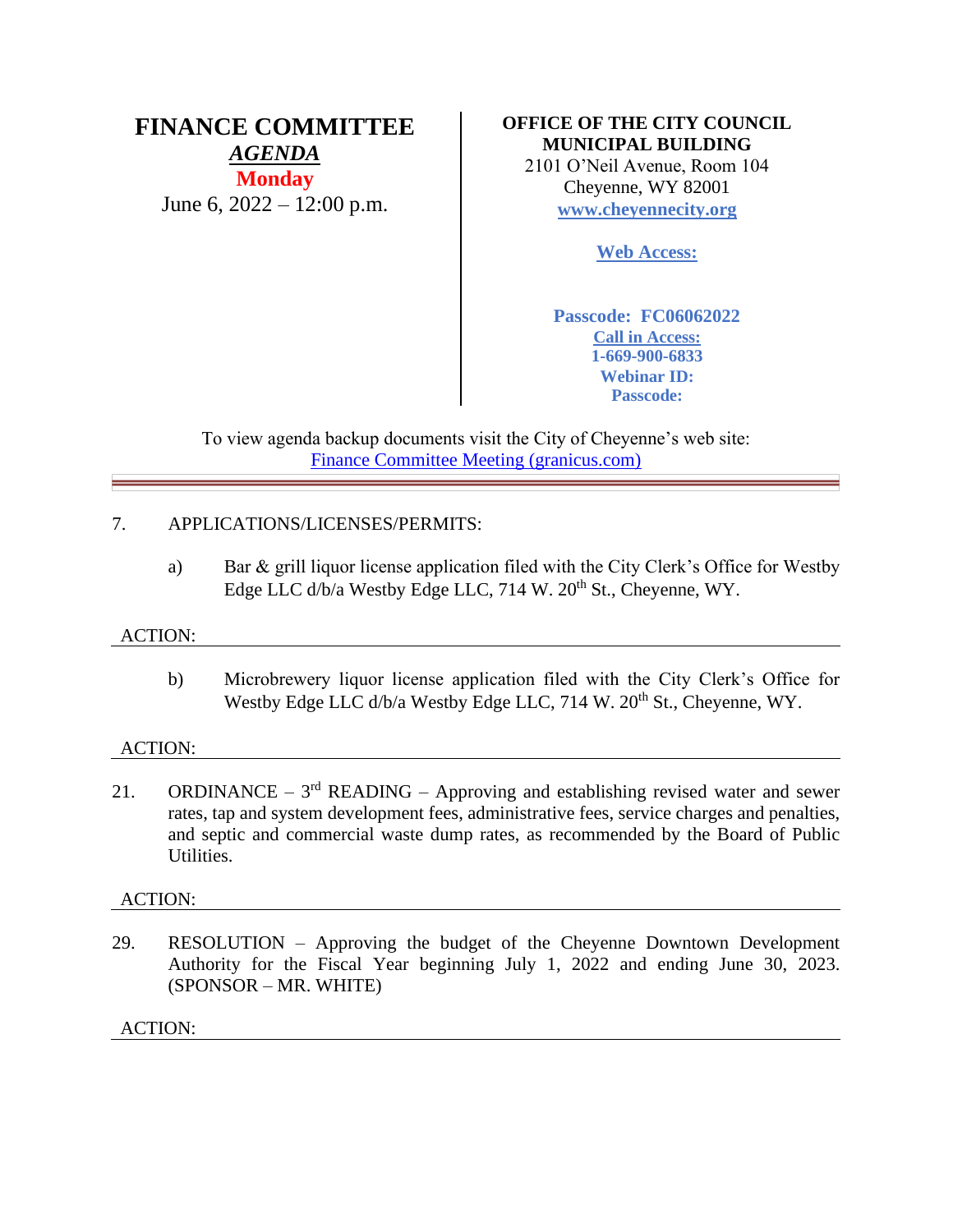# **FINANCE COMMITTEE** *AGENDA* **Monday** June 6, 2022 – 12:00 p.m.

# **OFFICE OF THE CITY COUNCIL MUNICIPAL BUILDING** 2101 O'Neil Avenue, Room 104 Cheyenne, WY 82001 **[www.cheyennecity.org](http://www.cheyennecity.org/)**

**Web Access:**

**Passcode: FC06062022 Call in Access: 1-669-900-6833 Webinar ID: Passcode:** 

To view agenda backup documents visit the City of Cheyenne's web site: [Finance Committee Meeting \(granicus.com\)](https://cheyenne.granicus.com/GeneratedAgendaViewer.php?event_id=1075)

# 7. APPLICATIONS/LICENSES/PERMITS:

a) Bar & grill liquor license application filed with the City Clerk's Office for Westby Edge LLC d/b/a Westby Edge LLC, 714 W. 20<sup>th</sup> St., Cheyenne, WY.

# ACTION:

b) Microbrewery liquor license application filed with the City Clerk's Office for Westby Edge LLC d/b/a Westby Edge LLC, 714 W. 20<sup>th</sup> St., Cheyenne, WY.

# ACTION:

21. ORDINANCE –  $3<sup>rd</sup>$  READING – Approving and establishing revised water and sewer rates, tap and system development fees, administrative fees, service charges and penalties, and septic and commercial waste dump rates, as recommended by the Board of Public Utilities.

# ACTION:

29. RESOLUTION – Approving the budget of the Cheyenne Downtown Development Authority for the Fiscal Year beginning July 1, 2022 and ending June 30, 2023. (SPONSOR – MR. WHITE)

ACTION: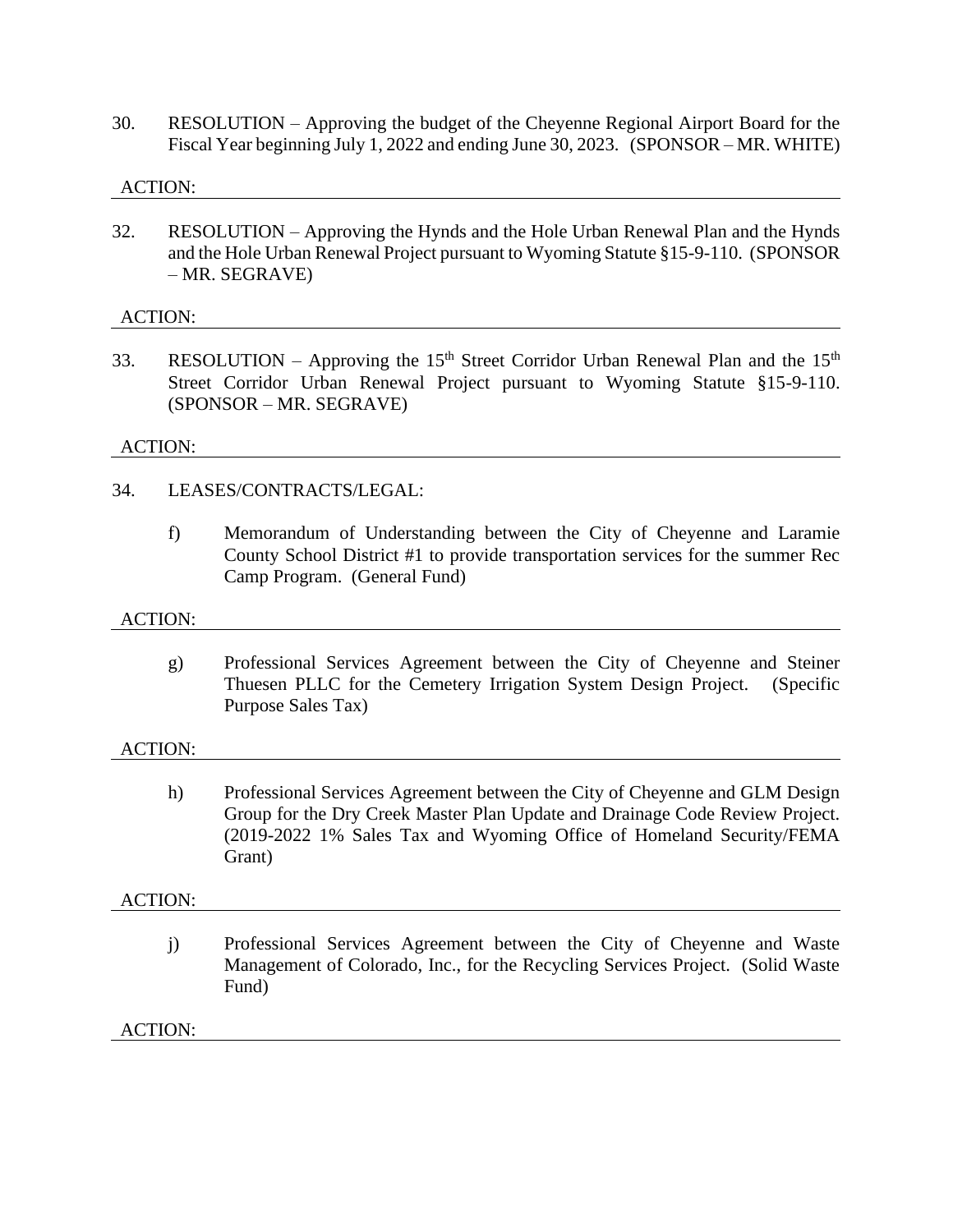30. RESOLUTION – Approving the budget of the Cheyenne Regional Airport Board for the Fiscal Year beginning July 1, 2022 and ending June 30, 2023. (SPONSOR – MR. WHITE)

### ACTION:

32. RESOLUTION – Approving the Hynds and the Hole Urban Renewal Plan and the Hynds and the Hole Urban Renewal Project pursuant to Wyoming Statute §15-9-110. (SPONSOR – MR. SEGRAVE)

### ACTION:

33. RESOLUTION – Approving the 15<sup>th</sup> Street Corridor Urban Renewal Plan and the 15<sup>th</sup> Street Corridor Urban Renewal Project pursuant to Wyoming Statute §15-9-110. (SPONSOR – MR. SEGRAVE)

### ACTION:

### 34. LEASES/CONTRACTS/LEGAL:

f) Memorandum of Understanding between the City of Cheyenne and Laramie County School District #1 to provide transportation services for the summer Rec Camp Program. (General Fund)

#### ACTION:

g) Professional Services Agreement between the City of Cheyenne and Steiner Thuesen PLLC for the Cemetery Irrigation System Design Project. (Specific Purpose Sales Tax)

#### ACTION:

h) Professional Services Agreement between the City of Cheyenne and GLM Design Group for the Dry Creek Master Plan Update and Drainage Code Review Project. (2019-2022 1% Sales Tax and Wyoming Office of Homeland Security/FEMA Grant)

#### ACTION:

j) Professional Services Agreement between the City of Cheyenne and Waste Management of Colorado, Inc., for the Recycling Services Project. (Solid Waste Fund)

#### ACTION: